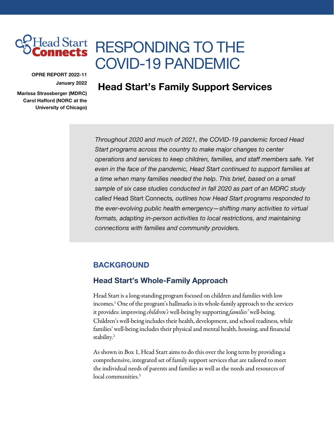

# RESPONDING TO THE COVID-19 PANDEMIC

OPRE REPORT 2022-11 January 2022

Marissa Strassberger (MDRC) Carol Hafford (NORC at the University of Chicago)

# Head Start's Family Support Services

*Throughout 2020 and much of 2021, the COVID-19 pandemic forced Head Start programs across the country to make major changes to center operations and services to keep children, families, and staff members safe. Yet even in the face of the pandemic, Head Start continued to support families at a time when many families needed the help. This brief, based on a small sample of six case studies conducted in fall 2020 as part of an MDRC study called* Head Start Connects*, outlines how Head Start programs responded to the ever-evolving public health emergency—shifting many activities to virtual formats, adapting in-person activities to local restrictions, and maintaining connections with families and community providers.*

#### BACKGROUND

#### Head Start's Whole-Family Approach

Head Start is a long-standing program focused on children and families with low incomes[.1](#page-11-0) One of the program's hallmarks is its whole-family approach to the services it provides: improving *children's* well-being by supporting *families'* well-being. Children's well-being includes their health, development, and school readiness, while families' well-being includes their physical and mental health, housing, and financial stability.<sup>[2](#page-11-0)</sup>

As shown in Box 1, Head Start aims to do this over the long term by providing a comprehensive, integrated set of family support services that are tailored to meet the individual needs of parents and families as well as the needs and resources of local communities.[3](#page-11-0)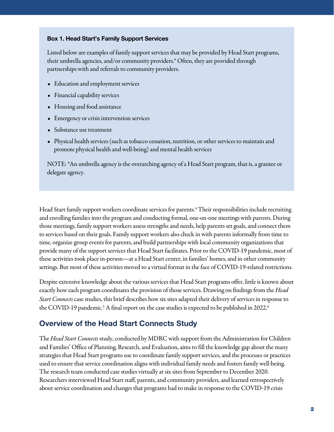#### Box 1. Head Start's Family Support Services

Listed below are examples of family support services that may be provided by Head Start programs, their umbrella agencies, and/or community providers.\* Often, they are provided through partnerships with and referrals to community providers.

- Education and employment services
- Financial capability services
- Housing and food assistance
- Emergency or crisis intervention services
- Substance use treatment
- Physical health services (such as tobacco cessation, nutrition, or other services to maintain and promote physical health and well-being) and mental health services

NOTE: \*An umbrella agency is the overarching agency of a Head Start program, that is, a grantee or delegate agency.

Head Start family support workers coordinate services for parents.<sup>[4](#page-11-0)</sup> Their responsibilities include recruiting and enrolling families into the program and conducting formal, one-on-one meetings with parents. During those meetings, family support workers assess strengths and needs, help parents set goals, and connect them to services based on their goals. Family support workers also check in with parents informally from time to time, organize group events for parents, and build partnerships with local community organizations that provide many of the support services that Head Start facilitates. Prior to the COVID-19 pandemic, most of these activities took place in-person—at a Head Start center, in families' homes, and in other community settings. But most of these activities moved to a virtual format in the face of COVID-19-related restrictions.

Despite extensive knowledge about the various services that Head Start programs offer, little is known about exactly how each program coordinates the provision of those services. Drawing on findings from the *Head Start Connects*case studies, this brief describes how six sites adapted their delivery of services in response to the COVID-19 pandemic.<sup>5</sup> A final report on the case studies is expected to be published in 2022.<sup>6</sup>

## Overview of the Head Start Connects Study

The *Head Start Connects* study, conducted by MDRC with support from the Administration for Children and Families' Office of Planning, Research, and Evaluation, aims to fill the knowledge gap about the many strategies that Head Start programs use to coordinate family support services, and the processes or practices used to ensure that service coordination aligns with individual family needs and fosters family well-being. The research team conducted case studies virtually at six sites from September to December 2020. Researchers interviewed Head Start staff, parents, and community providers, and learned retrospectively about service coordination and changes that programs had to make in response to the COVID-19 crisis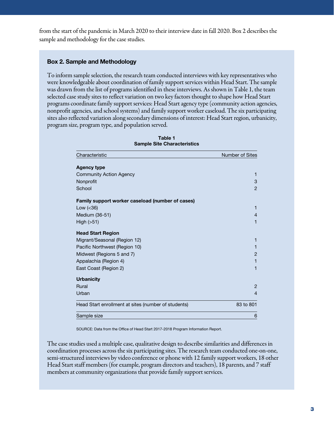from the start of the pandemic in March 2020 to their interview date in fall 2020. Box 2 describes the sample and methodology for the case studies.

#### Box 2. Sample and Methodology

To inform sample selection, the research team conducted interviews with key representatives who were knowledgeable about coordination of family support services within Head Start. The sample was drawn from the list of programs identified in these interviews. As shown in Table 1, the team selected case study sites to reflect variation on two key factors thought to shape how Head Start programs coordinate family support services: Head Start agency type (community action agencies, nonprofit agencies, and school systems) and family support worker caseload. The six participating sites also reflected variation along secondary dimensions of interest: Head Start region, urbanicity, program size, program type, and population served.

| Characteristic                                      | <b>Number of Sites</b> |
|-----------------------------------------------------|------------------------|
| <b>Agency type</b>                                  |                        |
| <b>Community Action Agency</b>                      | 1                      |
| Nonprofit                                           | 3                      |
| School                                              | $\overline{2}$         |
| Family support worker caseload (number of cases)    |                        |
| Low $(< 36)$                                        | 1                      |
| Medium (36-51)                                      | 4                      |
| High (>51)                                          | 1                      |
| <b>Head Start Region</b>                            |                        |
| Migrant/Seasonal (Region 12)                        | 1                      |
| Pacific Northwest (Region 10)                       | 1                      |
| Midwest (Regions 5 and 7)                           | $\overline{2}$         |
| Appalachia (Region 4)                               | 1                      |
| East Coast (Region 2)                               | 1                      |
| <b>Urbanicity</b>                                   |                        |
| Rural                                               | $\overline{2}$         |
| Urban                                               | $\overline{4}$         |
| Head Start enrollment at sites (number of students) | 83 to 801              |
| Sample size                                         | 6                      |

Table 1 Sample Site Characteristics

SOURCE: Data from the Office of Head Start 2017-2018 Program Information Report.

The case studies used a multiple case, qualitative design to describe similarities and differences in coordination processes across the six participating sites. The research team conducted one-on-one, semi-structured interviews by video conference or phone with 12 family support workers, 18 other Head Start staff members (for example, program directors and teachers), 18 parents, and 7 staff members at community organizations that provide family support services.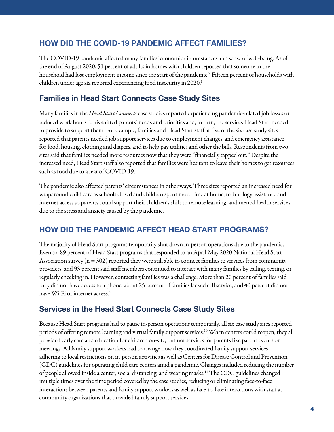# HOW DID THE COVID-19 PANDEMIC AFFECT FAMILIES?

The COVID-19 pandemic affected many families' economic circumstances and sense of well-being. As of the end of August 2020, 51 percent of adults in homes with children reported that someone in the household had lost employment income since the start of the pandemic. [7](#page-12-0) Fifteen percent of households with children under age six reported experiencing food insecurity in 2020. [8](#page-12-0)

# Families in Head Start Connects Case Study Sites

Many families in the *Head Start Connects* case studies reported experiencing pandemic-related job losses or reduced work hours. This shifted parents' needs and priorities and, in turn, the services Head Start needed to provide to support them. For example, families and Head Start staff at five of the six case study sites reported that parents needed job support services due to employment changes, and emergency assistance for food, housing, clothing and diapers, and to help pay utilities and other the bills. Respondents from two sites said that families needed more resources now that they were "financially tapped out." Despite the increased need, Head Start staffalso reported that families were hesitant to leave their homes to get resources such as food due to a fear of COVID-19.

The pandemic also affected parents' circumstances in other ways. Three sites reported an increased need for wraparound child care as schools closed and children spent more time at home, technology assistance and internet access so parents could support their children's shift to remote learning,and mental health services due to the stress and anxiety caused by the pandemic.

## HOW DID THE PANDEMIC AFFECT HEAD START PROGRAMS?

The majority of Head Start programs temporarily shut down in-person operations due to the pandemic. Even so, 89 percent of Head Start programs that responded to an April-May 2020 National Head Start Association survey ( $n = 302$ ) reported they were still able to connect families to services from community providers, and 93 percent said staff memberscontinued to interact with many families by calling, texting, or regularly checking in. However, contacting families was a challenge. More than 20 percent of families said they did not have access to a phone, about 25 percent of families lacked cell service, and 40 percent did not have Wi-Fi or internet access.<sup>[9](#page-12-0)</sup>

## Services in the Head Start Connects Case Study Sites

Because Head Start programs had to pause in-person operations temporarily, all six case study sites reported periods of offering remote learning and virtual family support services[.10](#page-12-0) When centers could reopen, they all provided early care and education for children on-site, but not services for parents like parent events or meetings. All family support workers had to change how they coordinated family support services adhering to local restrictions on in-person activities as well as Centers for Disease Control and Prevention (CDC) guidelines for operating child care centers amid a pandemic. Changes included reducing the number of people allowed inside a center, social distancing, and wearing masks.<sup>11</sup> The CDC guidelines changed multiple times over the time period covered by the case studies, reducing or eliminating face-to-face interactions between parents and family support workers as well as face-to-face interactions with staff at community organizations that provided family support services.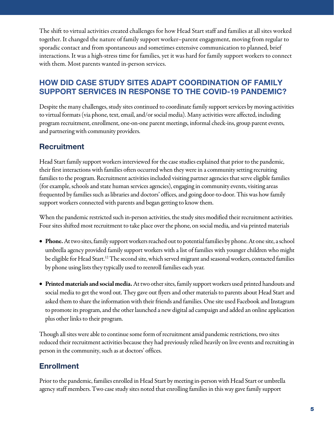The shift to virtual activities created challenges for how Head Start staff and families at all sites worked together. It changed the nature of family support worker–parent engagement, moving from regular to sporadic contact and from spontaneous and sometimes extensive communication to planned, brief interactions. It was a high-stress time for families, yet it was hard for family support workers to connect with them. Most parents wanted in-person services.

# HOW DID CASE STUDY SITES ADAPT COORDINATION OF FAMILY SUPPORT SERVICES IN RESPONSE TO THE COVID-19 PANDEMIC?

Despite the many challenges, study sites continued to coordinate family support services by moving activities to virtual formats (via phone, text, email, and/or social media). Many activities were affected, including program recruitment, enrollment, one-on-one parent meetings, informal check-ins, group parent events, and partnering with community providers.

# **Recruitment**

Head Start family support workers interviewed for the case studies explained that prior to the pandemic, their first interactions with families often occurred when they were in a community setting recruiting families to the program. Recruitment activities included visiting partner agencies that serve eligible families (for example, schools and state human servicesagencies), engaging in community events, visiting areas frequented by families such as libraries and doctors' offices, and going door-to-door. This was how family support workers connected with parents and began getting to know them.

When the pandemic restricted such in-person activities, the study sites modified their recruitment activities. Four sites shifted most recruitment to take place over the phone, on social media, and via printed materials

- Phone. At two sites, family support workers reached out to potential families by phone. At one site, a school umbrella agency provided family support workers with a list of families with younger children who might be eligible for Head Start.<sup>12</sup> The second site, which served migrant and seasonal workers, contacted families by phone using lists they typically used to reenroll families each year.
- Printed materials and social media. At two other sites, family support workers used printed handouts and social media to get the word out. They gave out flyers and other materials to parents about Head Start and asked them to share the information with their friends and families. One site used Facebook and Instagram to promote its program, and the other launched a new digital ad campaign and added an online application plus other links to their program.

Though all sites were able to continue some form of recruitment amid pandemic restrictions, two sites reduced their recruitment activities because they had previously relied heavily on live events and recruiting in person in the community, such as at doctors' offices.

# Enrollment

Prior to the pandemic, families enrolled in Head Start by meeting in-person with Head Start or umbrella agency staff members. Two case study sites noted that enrolling families in this way gave family support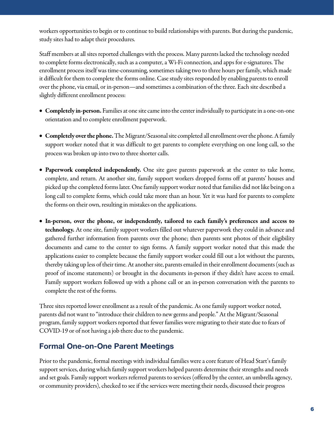workers opportunities to begin or to continue to build relationships with parents. But during the pandemic, study sites had to adapt their procedures.

Staff members at all sites reported challenges with the process. Many parents lacked the technology needed to complete forms electronically, such asa computer, a Wi-Ficonnection, and apps for e-signatures. The enrollment process itself was time-consuming, sometimes taking two to three hours per family, which made it difficult for them to complete the forms online. Case study sites responded by enabling parents to enroll over the phone, via email, or in-person—and sometimes a combination of the three. Each site described a slightly different enrollment process:

- Completely in-person. Families at one site came into the center individually to participate in a one-on-one orientation and to complete enrollment paperwork.
- Completely over the phone.The Migrant/Seasonal site completed all enrollment over the phone. A family support worker noted that it was difficult to get parents to complete everything on one long call, so the process was broken up into two to three shorter calls.
- Paperwork completed independently. One site gave parents paperwork at the center to take home, complete, and return. At another site, family support workers dropped forms off at parents' houses and picked up the completed forms later. One family support worker noted that families did not like being on a long call to complete forms, which could take more than an hour. Yet it was hard for parents to complete the forms on their own, resulting in mistakes on the applications.
- In-person, over the phone, or independently, tailored to each family's preferences and access to technology. At one site, family support workers filled out whatever paperwork they could in advance and gathered further information from parents over the phone; then parents sent photos of their eligibility documents and came to the center to sign forms. A family support worker noted that this made the applications easier to complete because the family support worker could fill out a lot without the parents, thereby taking up less of their time.At another site, parents emailed in their enrollment documents (such as proof of income statements) or brought in the documents in-person if they didn't have access to email. Family support workers followed up with a phone call or an in-person conversation with the parents to complete the rest of the forms.

Three sites reported lower enrollment as a result of the pandemic. As one family support worker noted, parents did not want to "introduce their children to new germs and people." At the Migrant/Seasonal program, family support workers reported that fewer families were migrating to their state due to fears of COVID-19 or of not having a job there due to the pandemic.

## Formal One-on-One Parent Meetings

Prior to the pandemic, formal meetings with individual families were a core feature of Head Start's family support services, during which family support workers helped parents determine their strengths and needs and set goals. Family support workers referred parents to services (offered by the center, an umbrella agency, or community providers), checked to see if the services were meeting their needs, discussed their progress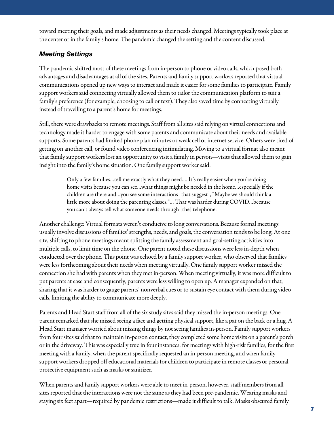toward meeting their goals, and made adjustments as their needs changed. Meetings typically took place at the center or in the family's home. The pandemic changed the setting and the content discussed.

#### *Meeting Settings*

The pandemic shifted most of these meetings from in-person to phone or video calls, which posed both advantages and disadvantages at all of the sites. Parents and family support workers reported that virtual communications opened up new ways to interact and made it easier for some families to participate. Family support workers said connecting virtually allowed them to tailor the communication platform to suit a family's preference (for example, choosing to call or text). They also saved time by connecting virtually instead of travelling to a parent's home for meetings.

Still, there were drawbacks to remote meetings. Staff from all sites said relying on virtual connections and technology made it harder to engage with some parents and communicate about their needs and available supports. Some parents had limited phone plan minutes or weak cell or internet service. Others were tired of getting on another call, or found video conferencing intimidating. Moving to a virtual format also meant that family support workers lost an opportunity to visit a family in person—visits that allowed them to gain insight into the family's home situation. One family support worker said:

> Only a few families...tell me exactly what they need.... It's really easier when you're doing home visits because you can see…what things might be needed in the home…especially if the children are there and...you see some interactions [that suggest], "Maybe we should think a little more about doing the parenting classes."… That was harder during COVID…because you can't always tell what someone needs through [the] telephone.

Another challenge: Virtual formats weren't conducive to long conversations. Because formal meetings usually involve discussions of families' strengths, needs, and goals, the conversation tends to belong. At one site, shifting to phone meetings meant splitting the family assessment and goal-setting activities into multiple calls, to limit time on the phone. One parent noted these discussions were less in-depth when conducted over the phone. This point was echoed by a family support worker, who observed that families were less forthcoming about their needs when meeting virtually. One family support worker missed the connection she had with parents when they met in-person. When meeting virtually, it was more difficult to put parents at ease and consequently, parents were less willing to open up. A manager expanded on that, sharing that it was harder to gauge parents' nonverbal cues or to sustain eye contact with them during video calls, limiting the ability to communicate more deeply.

Parents and Head Start staff from all of the six study sites said they missed the in-person meetings. One parent remarked that she missed seeing a face and getting physical support, like a pat on the back or a hug. A Head Start manager worried about missing things by not seeing families in-person. Family support workers from four sites said that to maintain in-person contact, they completed some home visits on a parent's porch or in the driveway. This was especially true in four instances: for meetings with high-risk families, for the first meeting with a family, when the parent specifically requested an in-person meeting, and when family support workers dropped off educational materials for children to participate in remote classes or personal protective equipment such as masks or sanitizer.

When parents and family support workers were able to meet in-person, however, staff members from all sites reported that the interactions were not the same as they had been pre-pandemic. Wearing masks and staying six feet apart—required by pandemic restrictions—made it difficult to talk. Masks obscured family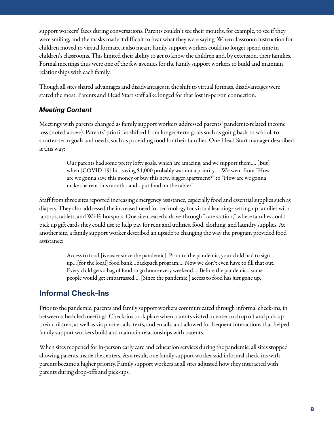support workers' faces during conversations. Parents couldn't see their mouths, for example, to see if they were smiling, and the masks made it difficult to hear what they were saying. When classroom instruction for children moved to virtual formats, it also meant family support workers could no longer spend time in children's classrooms. This limited their ability to get to know the children and, by extension, their families. Formal meetings thus were one of the few avenues for the family support workers to build and maintain relationships with each family.

Though all sites shared advantages and disadvantages in theshift to virtual formats, disadvantages were stated the most: Parents and Head Start staff alike longed for that lost in-person connection.

#### *Meeting Content*

Meetings with parents changed as family support workers addressed parents' pandemic-related income loss (noted above). Parents' priorities shifted from longer-term goals such as going back to school, to shorter-term goals and needs, such as providing food for their families. One Head Start manager described it this way:

> Our parents had some pretty lofty goals, which are amazing, and we support them…. [But] when [COVID-19] hit, saving \$1,000 probably was not a priority…. We went from "How are we gonna save this money or buy this new, biggerapartment?" to "How are we gonna make the rent this month…and…put food on the table?"

Staff from three sites reported increasing emergency assistance, especially food and essential supplies such as diapers. They also addressed the increased need for technology for virtual learning--setting up families with laptops, tablets, and Wi-Fi hotspots. One site created a drive-through "care station," where families could pick up gift cards they could use to help pay for rent and utilities, food, clothing, and laundry supplies. At another site, afamily support worker described an upside to changing the way the program provided food assistance:

> Access to food [is easier since the pandemic]. Prior to the pandemic, your child had to sign up…[for thelocal] food bank…backpack program…. Now we don't even have to fill that out. Every child gets a bag of food to go home every weekend…. Before the pandemic…some people would get embarrassed…. [Since the pandemic,] access to food has just gone up.

# Informal Check-Ins

Prior to the pandemic, parents and family support workers communicated through informal check-ins, in between scheduled meetings. Check-ins took place when parents visited a center to drop off and pick up their children, as well as via phone calls, texts, and emails, and allowed for frequent interactions that helped family support workers build and maintain relationships with parents.

When sites reopened for in-person early care and education services during the pandemic, all sites stopped allowing parents inside the centers. As a result, one family support worker said informal check-ins with parents became a higher priority. Family support workers at all sites adjusted how they interacted with parents during drop-offs and pick-ups.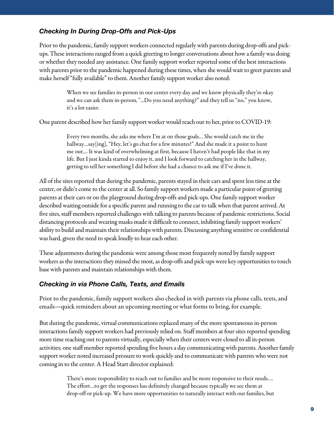#### *Checking In During Drop-Offs and Pick-Ups*

Prior to the pandemic, family support workers connected regularly with parents during drop-offs and pickups. These interactions ranged from a quick greeting to longer conversations about how a family was doing or whether they needed any assistance. One family support worker reported some of the best interactions with parents prior to the pandemic happened during these times, when she would wait to greet parents and make herself "fully available" to them. Another family support worker also noted:

> When we see families in-person in our center every day and we know physically they're okay and we can ask them in-person, "...Do you need anything?" and they tell us "no," you know, it's a lot easier.

One parent described how her family support worker would reach out to her, prior to COVID-19:

Every two months, she asks me where I'm at on those goals… She would catch me in the hallway…say[ing], "Hey, let's go chat for a few minutes!" And she made it a point to hunt me out.... It was kind of overwhelming at first, because I haven't had people like that in my life. But I just kinda started to enjoy it, and I look forward to catching her in the hallway, getting to tell her something I did before she had a chance to ask me if I've done it.

All of the sites reported that during the pandemic, parents stayed in their carsand spent less time at the center, or didn't come to the center at all. So family support workers made a particular point of greeting parents at their cars or on the playground during drop-offs and pick-ups. One family support worker described waiting outside for a specific parent and running to the car to talk when that parent arrived. At five sites, staff members reported challenges with talking to parents because of pandemic restrictions. Social distancing protocols and wearing masks made it difficult to connect, inhibiting family support workers' ability to build and maintain their relationships with parents. Discussing anything sensitive or confidential was hard, given the need to speak loudly to hear each other.

These adjustments during the pandemic were among those most frequently noted by family support workers as the interactions they missed the most, as drop-offs and pick-ups were key opportunities to touch base with parents and maintain relationships with them.

#### *Checking in via Phone Calls, Texts, and Emails*

Prior to the pandemic, family support workers also checked in with parents via phone calls, texts, and emails—quick reminders about an upcoming meeting or what forms to bring, for example.

But during the pandemic, virtual communications replaced many of the more spontaneous in-person interactions family support workers had previously relied on. Staff members at four sites reported spending more time reaching out to parents virtually, especially when their centers were closed to all in-person activities; one staff member reported spending five hours a day communicating with parents. Another family support worker noted increased pressure to work quickly and to communicate with parents who were not coming in to the center.A Head Start director explained:

> There's more responsibility to reach out to families and be more responsive to their needs…. The effort...to get the responses has definitely changed because typically we see them at drop-off or pick-up. We have more opportunities to naturally interact with our families, but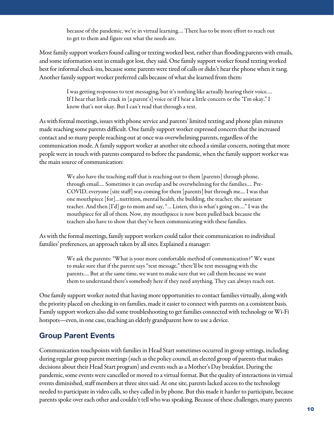because of the pandemic, we're in virtual learning.... There has to be more effort to reach out to get to them and figure out what the needs are.

Most family support workers found calling or texting worked best, rather than flooding parents with emails, and some information sent in emails got lost, they said. One family support worker found texting worked best for informal check-ins, because some parents were tired of calls or didn't hear the phone when it rang. Another family support worker preferred calls because of what she learned from them:

> I was getting responses to text messaging, but it's nothing like actually hearing their voice.… If I hear that little crack in [a parent's] voice or if I hear a little concern or the "I'm okay," I know that's not okay. But I can't read that through a text.

As with formal meetings, issues with phone service and parents' limited texting and phone plan minutes made reaching some parents difficult. One family support worker expressed concern that the increased contact and so many people reaching out at once was overwhelming parents, regardless of the communication mode. A family support worker at another site echoed a similar concern, noting that more people were in touch with parents compared to before the pandemic, when the family support worker was the main source of communication:

> We also have the teaching staff that is reaching out to them [parents] through phone, through email…. Sometimes it can overlap and be overwhelming for the families…. Pre-COVID, everyone [site staff] was coming for them [parents] but through me.... I was that one mouthpiece[for]…nutrition, mental health, the building, the teacher, the assistant teacher. And then [I'd] go to mom and say, "… Listen, this is what's going on…." I was the mouthpiece for all of them. Now, my mouthpiece is now been pulled back because the teachers also have to show that they've been communicating with these families.

As with the formal meetings, family support workers could tailor their communication to individual families' preferences, an approach taken by all sites. Explained a manager:

> We ask the parents: "What is your morecomfortable method of communication?" We want to make sure that if the parent says "text message," there'll be text messaging with the parents…. But at the same time, we want to make sure that we call them because we want them to understand there's somebody here if they need anything. They can always reach out.

One family support worker noted that having more opportunities to contact families virtually, along with the priority placed on checking in on families, made it easier to connect with parents on a consistent basis. Family support workers also did some troubleshooting to get families connected with technology or Wi-Fi hotspots—even, in one case, teaching an elderly grandparent how to use a device.

## Group Parent Events

Communication touchpoints with families in Head Start sometimes occurred in group settings, including during regular group parent meetings(such as the policy council, an elected group of parents that makes decisions about their Head Start program) and events such as a Mother's Day breakfast. During the pandemic, some events were cancelled or moved to a virtual format. But the quality of interactions in virtual events diminished, staff members at three sites said. At one site, parents lacked access to the technology needed to participate in video calls, so they called in by phone. But this made it harder to participate, because parents spoke over each other and couldn't tell who was speaking. Because of these challenges, many parents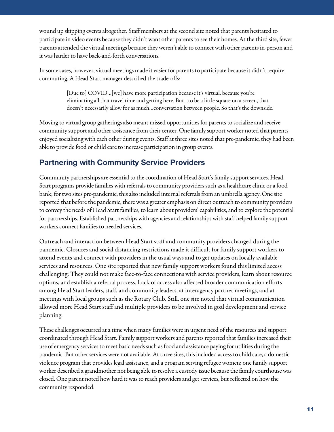wound up skipping events altogether. Staff members at the second site noted that parents hesitated to participate in video events because they didn't want other parents to see their homes. At the third site, fewer parents attended the virtual meetings because they weren't able to connect with other parents in-person and it was harder to have back-and-forth conversations.

In some cases, however, virtual meetings made it easier for parents to participate because it didn't require commuting. A Head Start manager described the trade-offs:

> [Due to] COVID…[we] have more participation because it's virtual, because you're eliminating all that travel time and getting here. But...to be a little square on a screen, that doesn't necessarily allow for as much…conversation between people. So that's the downside.

Moving to virtual group gatherings also meant missed opportunities for parents to socialize and receive community support and other assistance from their center. One family support worker noted that parents enjoyed socializing with each other during events. Staff at three sites noted that pre-pandemic, they had been able to provide food or child care to increase participation in group events.

# Partnering with Community Service Providers

Community partnerships are essential to the coordination of Head Start's family support services. Head Start programs provide families with referrals to community providers such as a healthcare clinic or a food bank; for two sites pre-pandemic, this also included internal referrals from an umbrella agency. One site reported that before the pandemic, there was a greater emphasis on direct outreach to community providers to convey the needs of Head Start families, to learn about providers' capabilities, and to explore the potential for partnerships. Established partnerships with agencies and relationships with staff helped family support workers connect families to needed services.

Outreach and interaction between Head Start staff and community providers changed during the pandemic. Closures and social distancing restrictions made it difficult for family support workers to attend events and connect with providers in the usual ways and to get updates on locally available services and resources. One site reported that new family support workers found this limited access challenging: They could not make face-to-face connections with service providers, learn about resource options, and establish a referral process. Lack of access also affected broader communication efforts among Head Start leaders, staff, and community leaders, at interagency partner meetings, and at meetings with local groups such as the Rotary Club. Still, one site noted that virtual communication allowed more Head Start staff and multiple providers to be involved in goal development and service planning.

These challenges occurred at a time when many families were in urgent need of the resources and support coordinated through Head Start. Family support workers and parents reported that families increased their use of emergency services to meet basic needs such as food and assistance paying for utilities during the pandemic. But other services were not available. At three sites, this included access to child care, a domestic violence program that provides legal assistance, and a program serving refugee women; one family support worker described a grandmother not being able to resolve a custody issue because the family courthouse was closed. One parent noted how hard it was to reach providers and get services, but reflected on how the community responded: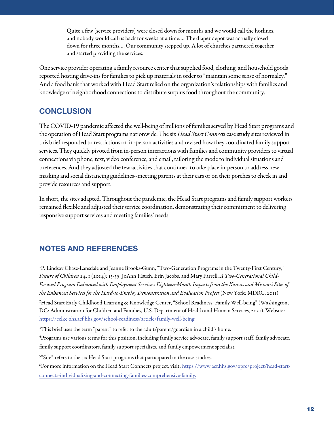<span id="page-11-0"></span>Quite a few [service providers] were closed down for months and we would call the hotlines, and nobody would call us back for weeks at a time…. The diaper depot was actually closed down for three months.... Our community stepped up. A lot of churches partnered together and started providing the services.

One service provider operating a family resource center that supplied food, clothing, and household goods reported hosting drive-ins for families to pick up materials in order to "maintain some sense of normalcy." And a food bank that worked with Head Start relied on the organization'srelationships with families and knowledge of neighborhood connections to distribute surplus food throughout the community.

## **CONCLUSION**

The COVID-19 pandemic affected the well-being of millions of families served by Head Start programs and the operation of Head Start programs nationwide. The six *Head Start Connects* case study sites reviewed in this briefresponded to restrictions on in-person activities and revised how they coordinated family support services. They quickly pivoted from in-person interactions with families and community providers to virtual connections via phone, text, video conference, and email, tailoring the mode to individual situations and preferences.And they adjusted the few activities that continued to take place in-person to address new masking and social distancing guidelines--meeting parentsat their cars or on their porches to check in and provide resources and support.

In short, the sites adapted. Throughout the pandemic, the Head Start programs and family support workers remained flexible and adjusted their service coordination, demonstrating their commitment to delivering responsive support services and meeting families' needs.

# NOTES AND REFERENCES

<sup>1</sup>P. Lindsay Chase-Lansdale and Jeanne Brooks-Gunn, "Two-Generation Programs in the Twenty-First Century," Future of Children 24, 1 (2014): 13-39; JoAnn Hsueh, Erin Jacobs, and Mary Farrell, *A Two-Generational Child-Focused Program Enhanced with Employment Services: Eighteen-Month Impacts from the Kansas and Missouri Sites of the Enhanced Services for the Hard-to-Employ Demonstration and <i>Evaluation Project* (New York: MDRC, 2011).

<sup>2</sup>Head Start Early Childhood Learning & Knowledge Center, "School Readiness: Family Well-being" (Washington, DC: Administration for Children and Families, U.S. Department of Health and Human Services, 2021). Website: [https://eclkc.ohs.acf.hhs.gov/school-readiness/article/family-well-being.](https://eclkc.ohs.acf.hhs.gov/school-readiness/article/family-well-being)

 $3$ This brief uses the term "parent" to refer to the adult/parent/guardian in a child's home.

<sup>4</sup>Programs use various terms for this position, including family service advocate, family support staff, family advocate, family support coordinators, family support specialists, and family empowerment specialist.

<sup>5</sup>"Site" refers to the six Head Start programs that participated in the case studies.

<sup>6</sup>For more information on the Head Start Connects project, visit: [https://www.acf.hhs.gov/opre/project/head-start](https://www.acf.hhs.gov/opre/project/head-start-connects-individualizing-and-connecting-families-comprehensive-family)[connects-individualizing-and-connecting-families-comprehensive-family.](https://www.acf.hhs.gov/opre/project/head-start-connects-individualizing-and-connecting-families-comprehensive-family)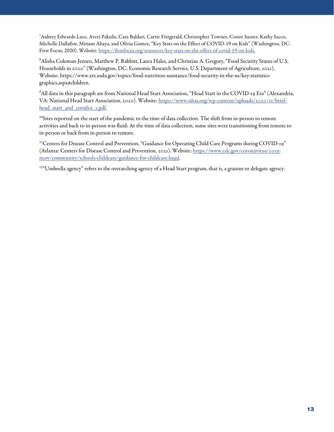<span id="page-12-0"></span>7 Aubrey Edwards-Luce, Averi Pakulis, Cara Baldari, Carrie Fitzgerald, Christopher Towner, Conor Sasner, Kathy Sacco, Michelle Dallafior, Miriam Abaya, and Olivia Gomez, "Key Stats on the Effect of COVID-19 on Kids" (Washington, DC: First Focus, 2020). Website[: https://firstfocus.org/resources/key-stats-on-the-effect-of-covid-19-on-kids.](https://firstfocus.org/resources/key-stats-on-the-effect-of-covid-19-on-kids)

<sup>8</sup>Alisha Coleman-Jensen, Matthew P. Rabbitt, Laura Hales, and Christian A. Gregory, "Food Security Status of U.S. Households in 2020" (Washington, DC: Economic Research Service, U.S. Department of Agriculture, 2021). Website: https://www.ers.usda.gov/topics/food-nutrition-assistance/food-security-in-the-us/key-statisticsgraphics.aspx#children.

 $^9$ All data in this paragraph are from National Head Start Association, "Head Start in the COVID-19 Era" (Alexandria, VA: National Head Start Association, 2020). Website: https://www.nhsa.org/wp-content/uploads/2020/11/briefhead start and covid19 1.pdf.

 $10$ Sites reported on the start of the pandemic to the time of data collection. The shift from in-person to remote activities and back to in-person was fluid: At the time of data collection, some sites were transitioning from remote to in-person or back from in-person to remote.

<sup>11</sup>Centers for Disease Control and Prevention, "Guidance for Operating Child Care Programs during COVID-19" (Atlanta: Centers for Disease Control and Prevention, 2021). Website: https://www.cdc.gov/coronavirus/2019[ncov/community/schools-childcare/guidance-for-childcare.html.](https://www.cdc.gov/coronavirus/2019-ncov/community/schools-childcare/guidance-for-childcare.html) 

<sup>12"</sup>Umbrella agency" refers to the overarching agency of a Head Start program, that is, a grantee or delegate agency.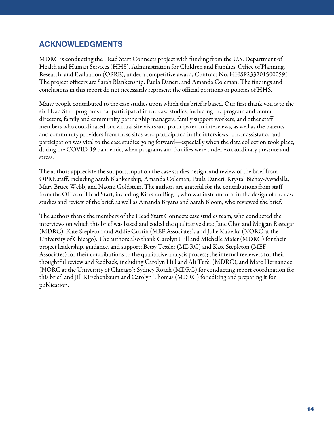# ACKNOWLEDGMENTS

MDRC is conducting the Head Start Connects project with funding from the U.S. Department of Health and Human Services (HHS), Administration for Children and Families, Office of Planning, Research, and Evaluation (OPRE), under a competitive award, Contract No. HHSP233201500059I. The project officers are Sarah Blankenship, Paula Daneri, and Amanda Coleman. The findings and conclusions in this report do not necessarily represent the official positions or policies of HHS.

Many people contributed to the case studies upon which this brief is based. Our first thank you is to the six Head Start programs that participated in the case studies, including the program and center directors, family and community partnership managers, family support workers, and other staff members who coordinated our virtual site visits and participated in interviews, as well as the parents and community providers from these sites who participated in the interviews. Their assistance and participation was vital to the case studies going forward—especially when the data collection took place, during the COVID-19 pandemic, when programs and families were under extraordinary pressure and stress.

The authors appreciate the support, input on the case studies design, and review of the brief from OPRE staff, including Sarah Blankenship, Amanda Coleman, Paula Daneri, Krystal Bichay-Awadalla, Mary Bruce Webb, and Naomi Goldstein. The authors are grateful for the contributions from staff from the Office of Head Start, including Kiersten Biegel, who was instrumental in the design of the case studies and review of the brief, as well as Amanda Bryans and Sarah Bloom, who reviewed the brief.

The authors thank the members of the Head Start Connects case studies team, who conducted the interviews on which this brief was based and coded the qualitative data: Jane Choi and Mojgan Rastegar (MDRC), Kate Stepleton and Addie Currin (MEF Associates), and Julie Kubelka (NORC at the University of Chicago). The authors also thank Carolyn Hill and Michelle Maier (MDRC) for their project leadership, guidance, and support; Betsy Tessler (MDRC) and Kate Stepleton (MEF Associates) for their contributions to the qualitative analysis process; the internal reviewers for their thoughtful review and feedback, including Carolyn Hill and Ali Tufel (MDRC), and Marc Hernandez (NORC at the University of Chicago); Sydney Roach (MDRC) for conducting report coordination for this brief; and Jill Kirschenbaum and Carolyn Thomas (MDRC) for editing and preparing it for publication.